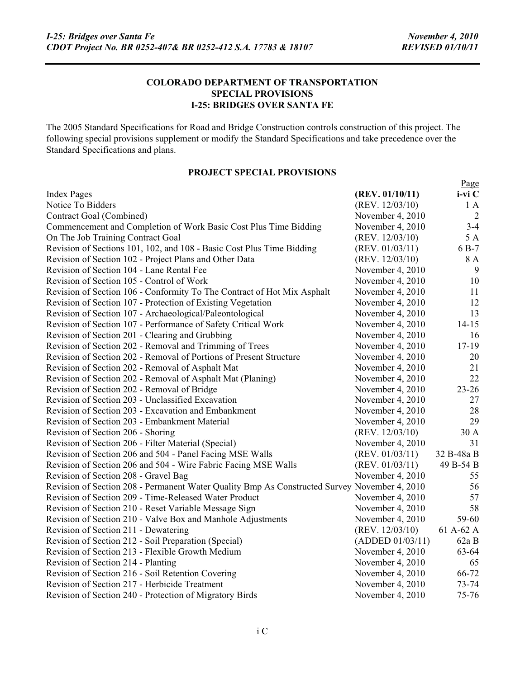#### **COLORADO DEPARTMENT OF TRANSPORTATION SPECIAL PROVISIONS I-25: BRIDGES OVER SANTA FE**

The 2005 Standard Specifications for Road and Bridge Construction controls construction of this project. The following special provisions supplement or modify the Standard Specifications and take precedence over the Standard Specifications and plans.

# **PROJECT SPECIAL PROVISIONS**

| i-vi C<br><b>Index Pages</b><br>(REV. 01/10/11)<br>Notice To Bidders<br>(REV. 12/03/10)<br>1A<br>Contract Goal (Combined)<br>November 4, 2010<br>$\overline{2}$<br>Commencement and Completion of Work Basic Cost Plus Time Bidding<br>$3 - 4$<br>November 4, 2010<br>5 A<br>On The Job Training Contract Goal<br>(REV. 12/03/10)<br>Revision of Sections 101, 102, and 108 - Basic Cost Plus Time Bidding<br>6 B-7<br>(REV. 01/03/11)<br>8 A<br>Revision of Section 102 - Project Plans and Other Data<br>(REV. 12/03/10)<br>$\overline{9}$<br>Revision of Section 104 - Lane Rental Fee<br>November 4, 2010<br>10<br>Revision of Section 105 - Control of Work<br>November 4, 2010<br>Revision of Section 106 - Conformity To The Contract of Hot Mix Asphalt<br>November 4, 2010<br>11<br>12<br>Revision of Section 107 - Protection of Existing Vegetation<br>November 4, 2010<br>13<br>Revision of Section 107 - Archaeological/Paleontological<br>November 4, 2010<br>Revision of Section 107 - Performance of Safety Critical Work<br>November 4, 2010<br>$14 - 15$ |
|----------------------------------------------------------------------------------------------------------------------------------------------------------------------------------------------------------------------------------------------------------------------------------------------------------------------------------------------------------------------------------------------------------------------------------------------------------------------------------------------------------------------------------------------------------------------------------------------------------------------------------------------------------------------------------------------------------------------------------------------------------------------------------------------------------------------------------------------------------------------------------------------------------------------------------------------------------------------------------------------------------------------------------------------------------------------------|
|                                                                                                                                                                                                                                                                                                                                                                                                                                                                                                                                                                                                                                                                                                                                                                                                                                                                                                                                                                                                                                                                            |
|                                                                                                                                                                                                                                                                                                                                                                                                                                                                                                                                                                                                                                                                                                                                                                                                                                                                                                                                                                                                                                                                            |
|                                                                                                                                                                                                                                                                                                                                                                                                                                                                                                                                                                                                                                                                                                                                                                                                                                                                                                                                                                                                                                                                            |
|                                                                                                                                                                                                                                                                                                                                                                                                                                                                                                                                                                                                                                                                                                                                                                                                                                                                                                                                                                                                                                                                            |
|                                                                                                                                                                                                                                                                                                                                                                                                                                                                                                                                                                                                                                                                                                                                                                                                                                                                                                                                                                                                                                                                            |
|                                                                                                                                                                                                                                                                                                                                                                                                                                                                                                                                                                                                                                                                                                                                                                                                                                                                                                                                                                                                                                                                            |
|                                                                                                                                                                                                                                                                                                                                                                                                                                                                                                                                                                                                                                                                                                                                                                                                                                                                                                                                                                                                                                                                            |
|                                                                                                                                                                                                                                                                                                                                                                                                                                                                                                                                                                                                                                                                                                                                                                                                                                                                                                                                                                                                                                                                            |
|                                                                                                                                                                                                                                                                                                                                                                                                                                                                                                                                                                                                                                                                                                                                                                                                                                                                                                                                                                                                                                                                            |
|                                                                                                                                                                                                                                                                                                                                                                                                                                                                                                                                                                                                                                                                                                                                                                                                                                                                                                                                                                                                                                                                            |
|                                                                                                                                                                                                                                                                                                                                                                                                                                                                                                                                                                                                                                                                                                                                                                                                                                                                                                                                                                                                                                                                            |
|                                                                                                                                                                                                                                                                                                                                                                                                                                                                                                                                                                                                                                                                                                                                                                                                                                                                                                                                                                                                                                                                            |
|                                                                                                                                                                                                                                                                                                                                                                                                                                                                                                                                                                                                                                                                                                                                                                                                                                                                                                                                                                                                                                                                            |
| Revision of Section 201 - Clearing and Grubbing<br>November 4, 2010<br>16                                                                                                                                                                                                                                                                                                                                                                                                                                                                                                                                                                                                                                                                                                                                                                                                                                                                                                                                                                                                  |
| Revision of Section 202 - Removal and Trimming of Trees<br>November 4, 2010<br>$17-19$                                                                                                                                                                                                                                                                                                                                                                                                                                                                                                                                                                                                                                                                                                                                                                                                                                                                                                                                                                                     |
| Revision of Section 202 - Removal of Portions of Present Structure<br>November 4, 2010<br>20                                                                                                                                                                                                                                                                                                                                                                                                                                                                                                                                                                                                                                                                                                                                                                                                                                                                                                                                                                               |
| Revision of Section 202 - Removal of Asphalt Mat<br>November 4, 2010<br>21                                                                                                                                                                                                                                                                                                                                                                                                                                                                                                                                                                                                                                                                                                                                                                                                                                                                                                                                                                                                 |
| 22<br>Revision of Section 202 - Removal of Asphalt Mat (Planing)<br>November 4, 2010                                                                                                                                                                                                                                                                                                                                                                                                                                                                                                                                                                                                                                                                                                                                                                                                                                                                                                                                                                                       |
| $23 - 26$<br>Revision of Section 202 - Removal of Bridge<br>November 4, 2010                                                                                                                                                                                                                                                                                                                                                                                                                                                                                                                                                                                                                                                                                                                                                                                                                                                                                                                                                                                               |
| 27<br>Revision of Section 203 - Unclassified Excavation<br>November 4, 2010                                                                                                                                                                                                                                                                                                                                                                                                                                                                                                                                                                                                                                                                                                                                                                                                                                                                                                                                                                                                |
| 28<br>Revision of Section 203 - Excavation and Embankment<br>November 4, 2010                                                                                                                                                                                                                                                                                                                                                                                                                                                                                                                                                                                                                                                                                                                                                                                                                                                                                                                                                                                              |
| 29<br>Revision of Section 203 - Embankment Material<br>November 4, 2010                                                                                                                                                                                                                                                                                                                                                                                                                                                                                                                                                                                                                                                                                                                                                                                                                                                                                                                                                                                                    |
| (REV. 12/03/10)<br>30 A<br>Revision of Section 206 - Shoring                                                                                                                                                                                                                                                                                                                                                                                                                                                                                                                                                                                                                                                                                                                                                                                                                                                                                                                                                                                                               |
| Revision of Section 206 - Filter Material (Special)<br>November 4, 2010<br>31                                                                                                                                                                                                                                                                                                                                                                                                                                                                                                                                                                                                                                                                                                                                                                                                                                                                                                                                                                                              |
| Revision of Section 206 and 504 - Panel Facing MSE Walls<br>(REV. 01/03/11)<br>32 B-48a B                                                                                                                                                                                                                                                                                                                                                                                                                                                                                                                                                                                                                                                                                                                                                                                                                                                                                                                                                                                  |
| 49 B-54 B<br>Revision of Section 206 and 504 - Wire Fabric Facing MSE Walls<br>(REV. 01/03/11)                                                                                                                                                                                                                                                                                                                                                                                                                                                                                                                                                                                                                                                                                                                                                                                                                                                                                                                                                                             |
| Revision of Section 208 - Gravel Bag<br>November 4, 2010<br>55                                                                                                                                                                                                                                                                                                                                                                                                                                                                                                                                                                                                                                                                                                                                                                                                                                                                                                                                                                                                             |
| Revision of Section 208 - Permanent Water Quality Bmp As Constructed Survey November 4, 2010<br>56                                                                                                                                                                                                                                                                                                                                                                                                                                                                                                                                                                                                                                                                                                                                                                                                                                                                                                                                                                         |
| Revision of Section 209 - Time-Released Water Product<br>November 4, 2010<br>57                                                                                                                                                                                                                                                                                                                                                                                                                                                                                                                                                                                                                                                                                                                                                                                                                                                                                                                                                                                            |
| 58<br>Revision of Section 210 - Reset Variable Message Sign<br>November 4, 2010                                                                                                                                                                                                                                                                                                                                                                                                                                                                                                                                                                                                                                                                                                                                                                                                                                                                                                                                                                                            |
| 59-60<br>Revision of Section 210 - Valve Box and Manhole Adjustments<br>November 4, 2010                                                                                                                                                                                                                                                                                                                                                                                                                                                                                                                                                                                                                                                                                                                                                                                                                                                                                                                                                                                   |
| 61 A-62 A<br>Revision of Section 211 - Dewatering<br>(REV. 12/03/10)                                                                                                                                                                                                                                                                                                                                                                                                                                                                                                                                                                                                                                                                                                                                                                                                                                                                                                                                                                                                       |
| Revision of Section 212 - Soil Preparation (Special)<br>(ADDED 01/03/11)<br>62aB                                                                                                                                                                                                                                                                                                                                                                                                                                                                                                                                                                                                                                                                                                                                                                                                                                                                                                                                                                                           |
| Revision of Section 213 - Flexible Growth Medium<br>63-64<br>November 4, 2010                                                                                                                                                                                                                                                                                                                                                                                                                                                                                                                                                                                                                                                                                                                                                                                                                                                                                                                                                                                              |
| Revision of Section 214 - Planting<br>November 4, 2010<br>65                                                                                                                                                                                                                                                                                                                                                                                                                                                                                                                                                                                                                                                                                                                                                                                                                                                                                                                                                                                                               |
| 66-72<br>Revision of Section 216 - Soil Retention Covering<br>November 4, 2010                                                                                                                                                                                                                                                                                                                                                                                                                                                                                                                                                                                                                                                                                                                                                                                                                                                                                                                                                                                             |
| $73 - 74$<br>Revision of Section 217 - Herbicide Treatment<br>November 4, 2010                                                                                                                                                                                                                                                                                                                                                                                                                                                                                                                                                                                                                                                                                                                                                                                                                                                                                                                                                                                             |
| 75-76<br>Revision of Section 240 - Protection of Migratory Birds<br>November 4, 2010                                                                                                                                                                                                                                                                                                                                                                                                                                                                                                                                                                                                                                                                                                                                                                                                                                                                                                                                                                                       |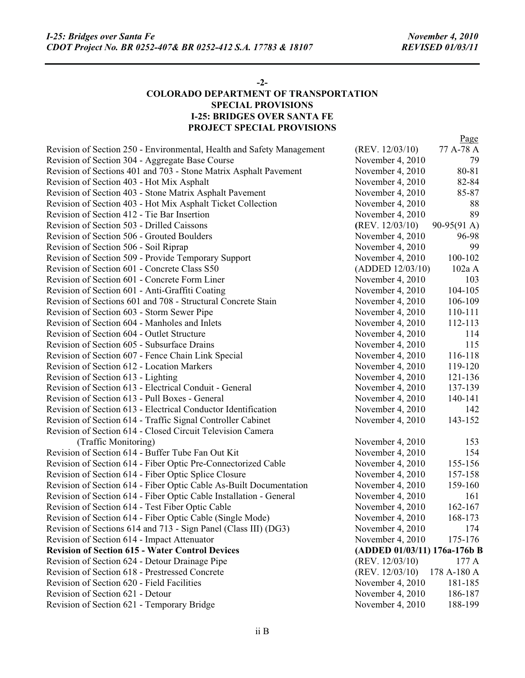#### **-2-**

### **COLORADO DEPARTMENT OF TRANSPORTATION SPECIAL PROVISIONS I-25: BRIDGES OVER SANTA FE PROJECT SPECIAL PROVISIONS**

|                                                                       |                              | Page                  |
|-----------------------------------------------------------------------|------------------------------|-----------------------|
| Revision of Section 250 - Environmental, Health and Safety Management | (REV. 12/03/10)              | 77 A-78 A             |
| Revision of Section 304 - Aggregate Base Course                       | November 4, 2010             | 79                    |
| Revision of Sections 401 and 703 - Stone Matrix Asphalt Pavement      | November 4, 2010             | 80-81                 |
| Revision of Section 403 - Hot Mix Asphalt                             | November 4, 2010             | 82-84                 |
| Revision of Section 403 - Stone Matrix Asphalt Pavement               | November 4, 2010             | 85-87                 |
| Revision of Section 403 - Hot Mix Asphalt Ticket Collection           | November 4, 2010             | 88                    |
| Revision of Section 412 - Tie Bar Insertion                           | November 4, 2010             | 89                    |
| Revision of Section 503 - Drilled Caissons                            | (REV. $12/03/10$ )           | $90-95(91 \text{ A})$ |
| Revision of Section 506 - Grouted Boulders                            | November 4, 2010             | 96-98                 |
| Revision of Section 506 - Soil Riprap                                 | November 4, 2010             | 99                    |
| Revision of Section 509 - Provide Temporary Support                   | November 4, 2010             | 100-102               |
| Revision of Section 601 - Concrete Class S50                          | (ADDED 12/03/10)             | 102a A                |
| Revision of Section 601 - Concrete Form Liner                         | November 4, 2010             | 103                   |
| Revision of Section 601 - Anti-Graffiti Coating                       | November 4, 2010             | 104-105               |
| Revision of Sections 601 and 708 - Structural Concrete Stain          | November 4, 2010             | 106-109               |
| Revision of Section 603 - Storm Sewer Pipe                            | November 4, 2010             | 110-111               |
| Revision of Section 604 - Manholes and Inlets                         | November 4, 2010             | 112-113               |
| Revision of Section 604 - Outlet Structure                            | November 4, 2010             | 114                   |
| Revision of Section 605 - Subsurface Drains                           | November 4, 2010             | 115                   |
| Revision of Section 607 - Fence Chain Link Special                    | November 4, 2010             | 116-118               |
| Revision of Section 612 - Location Markers                            | November 4, 2010             | 119-120               |
| Revision of Section 613 - Lighting                                    | November 4, 2010             | 121-136               |
| Revision of Section 613 - Electrical Conduit - General                | November 4, 2010             | 137-139               |
| Revision of Section 613 - Pull Boxes - General                        | November 4, 2010             | 140-141               |
| Revision of Section 613 - Electrical Conductor Identification         | November 4, 2010             | 142                   |
| Revision of Section 614 - Traffic Signal Controller Cabinet           | November 4, 2010             | 143-152               |
| Revision of Section 614 - Closed Circuit Television Camera            |                              |                       |
| (Traffic Monitoring)                                                  | November 4, 2010             | 153                   |
| Revision of Section 614 - Buffer Tube Fan Out Kit                     | November 4, 2010             | 154                   |
| Revision of Section 614 - Fiber Optic Pre-Connectorized Cable         | November 4, 2010             | 155-156               |
| Revision of Section 614 - Fiber Optic Splice Closure                  | November 4, 2010             | 157-158               |
| Revision of Section 614 - Fiber Optic Cable As-Built Documentation    | November 4, 2010             | 159-160               |
| Revision of Section 614 - Fiber Optic Cable Installation - General    | November 4, 2010             | 161                   |
| Revision of Section 614 - Test Fiber Optic Cable                      | November 4, 2010             | 162-167               |
| Revision of Section 614 - Fiber Optic Cable (Single Mode)             | November 4, 2010             | 168-173               |
| Revision of Sections 614 and 713 - Sign Panel (Class III) (DG3)       | November 4, 2010             | 174                   |
| Revision of Section 614 - Impact Attenuator                           | November 4, 2010             | 175-176               |
| <b>Revision of Section 615 - Water Control Devices</b>                | (ADDED 01/03/11) 176a-176b B |                       |
| Revision of Section 624 - Detour Drainage Pipe                        | (REV. 12/03/10)              | 177 A                 |
| Revision of Section 618 - Prestressed Concrete                        | (REV. 12/03/10)              | 178 A-180 A           |
| Revision of Section 620 - Field Facilities                            | November 4, 2010             | 181-185               |
| Revision of Section 621 - Detour                                      | November 4, 2010             | 186-187               |
| Revision of Section 621 - Temporary Bridge                            | November 4, 2010             | 188-199               |
|                                                                       |                              |                       |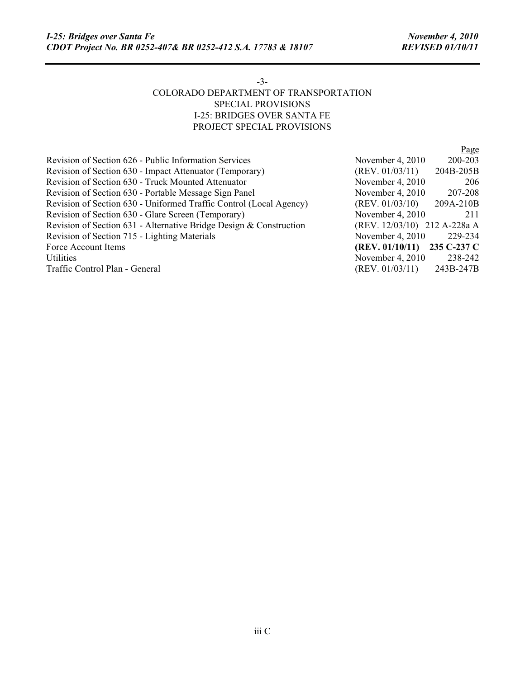# -3- COLORADO DEPARTMENT OF TRANSPORTATION SPECIAL PROVISIONS I-25: BRIDGES OVER SANTA FE PROJECT SPECIAL PROVISIONS

|                                                                    |                              | Page      |
|--------------------------------------------------------------------|------------------------------|-----------|
| Revision of Section 626 - Public Information Services              | November 4, 2010             | 200-203   |
| Revision of Section 630 - Impact Attenuator (Temporary)            | (REV. 01/03/11)              | 204B-205B |
| Revision of Section 630 - Truck Mounted Attenuator                 | November 4, 2010             | 206       |
| Revision of Section 630 - Portable Message Sign Panel              | November 4, 2010             | 207-208   |
| Revision of Section 630 - Uniformed Traffic Control (Local Agency) | (REV. 01/03/10)              | 209A-210B |
| Revision of Section 630 - Glare Screen (Temporary)                 | November 4, 2010             | 211       |
| Revision of Section 631 - Alternative Bridge Design & Construction | (REV. 12/03/10) 212 A-228a A |           |
| Revision of Section 715 - Lighting Materials                       | November 4, 2010             | 229-234   |
| Force Account Items                                                | (REV. 01/10/11) 235 C-237 C  |           |
| <b>Utilities</b>                                                   | November 4, 2010             | 238-242   |
| Traffic Control Plan - General                                     | (REV. 01/03/11)              | 243B-247B |
|                                                                    |                              |           |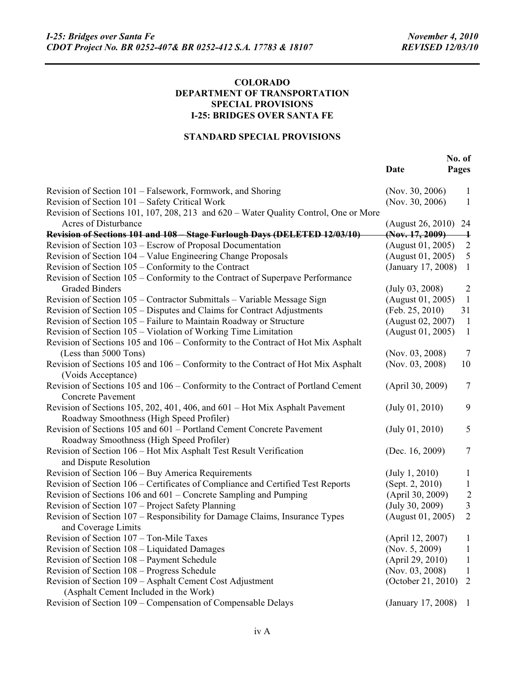#### **COLORADO DEPARTMENT OF TRANSPORTATION SPECIAL PROVISIONS I-25: BRIDGES OVER SANTA FE**

## **STANDARD SPECIAL PROVISIONS**

|                                                                                                        | Date               | No. of<br>Pages |
|--------------------------------------------------------------------------------------------------------|--------------------|-----------------|
| Revision of Section 101 – Falsework, Formwork, and Shoring                                             | (Nov. 30, 2006)    | 1               |
| Revision of Section 101 - Safety Critical Work                                                         | (Nov. 30, 2006)    | 1               |
| Revision of Sections 101, 107, 208, 213 and 620 - Water Quality Control, One or More                   |                    |                 |
| <b>Acres of Disturbance</b>                                                                            | (August 26, 2010)  | 24              |
| Revision of Sections 101 and 108 - Stage Furlough Days (DELETED 12/03/10)                              | (Nov. 17, 2009)    | $\mathbf +$     |
| Revision of Section 103 – Escrow of Proposal Documentation                                             | (August 01, 2005)  | $\overline{2}$  |
| Revision of Section 104 - Value Engineering Change Proposals                                           | (August 01, 2005)  | $\mathfrak{S}$  |
| Revision of Section $105$ – Conformity to the Contract                                                 | (January 17, 2008) | $\mathbf{1}$    |
| Revision of Section 105 – Conformity to the Contract of Superpave Performance                          |                    |                 |
| <b>Graded Binders</b>                                                                                  | $(July\ 03, 2008)$ | 2               |
| Revision of Section 105 - Contractor Submittals - Variable Message Sign                                | (August 01, 2005)  | $\mathbf{1}$    |
| Revision of Section 105 – Disputes and Claims for Contract Adjustments                                 | (Feb. 25, 2010)    | 31              |
| Revision of Section 105 – Failure to Maintain Roadway or Structure                                     | (August 02, 2007)  | $\mathbf{1}$    |
| Revision of Section 105 - Violation of Working Time Limitation                                         | (August 01, 2005)  | $\mathbf{1}$    |
| Revision of Sections 105 and 106 – Conformity to the Contract of Hot Mix Asphalt                       |                    |                 |
| (Less than 5000 Tons)                                                                                  | (Nov. $03, 2008$ ) | 7               |
| Revision of Sections 105 and 106 – Conformity to the Contract of Hot Mix Asphalt<br>(Voids Acceptance) | (Nov. 03, 2008)    | 10              |
| Revision of Sections 105 and 106 – Conformity to the Contract of Portland Cement                       | (April 30, 2009)   | $7\phantom{.0}$ |
| <b>Concrete Pavement</b>                                                                               |                    |                 |
| Revision of Sections 105, 202, 401, 406, and 601 – Hot Mix Asphalt Pavement                            | (July 01, 2010)    | 9               |
| Roadway Smoothness (High Speed Profiler)                                                               |                    |                 |
| Revision of Sections 105 and 601 – Portland Cement Concrete Pavement                                   | (July 01, 2010)    | 5               |
| Roadway Smoothness (High Speed Profiler)                                                               |                    |                 |
| Revision of Section 106 - Hot Mix Asphalt Test Result Verification                                     | (Dec. 16, 2009)    | $\tau$          |
| and Dispute Resolution                                                                                 |                    |                 |
| Revision of Section 106 - Buy America Requirements                                                     | (July 1, 2010)     | 1               |
| Revision of Section 106 – Certificates of Compliance and Certified Test Reports                        | (Sept. 2, 2010)    | $\mathbf{1}$    |
| Revision of Sections 106 and 601 – Concrete Sampling and Pumping                                       | (April 30, 2009)   | $\overline{c}$  |
| Revision of Section 107 – Project Safety Planning                                                      | (July 30, 2009)    | 3               |
| Revision of Section 107 – Responsibility for Damage Claims, Insurance Types<br>and Coverage Limits     | (August 01, 2005)  | $\overline{2}$  |
| Revision of Section 107 - Ton-Mile Taxes                                                               | (April 12, 2007)   | 1               |
| Revision of Section 108 – Liquidated Damages                                                           | (Nov. 5, 2009)     | 1               |
| Revision of Section 108 - Payment Schedule                                                             | (April 29, 2010)   | 1               |
| Revision of Section 108 - Progress Schedule                                                            | (Nov. 03, 2008)    | 1               |
| Revision of Section 109 - Asphalt Cement Cost Adjustment                                               | (October 21, 2010) | $\overline{2}$  |
| (Asphalt Cement Included in the Work)                                                                  |                    |                 |
| Revision of Section 109 – Compensation of Compensable Delays                                           | (January 17, 2008) | $\perp$         |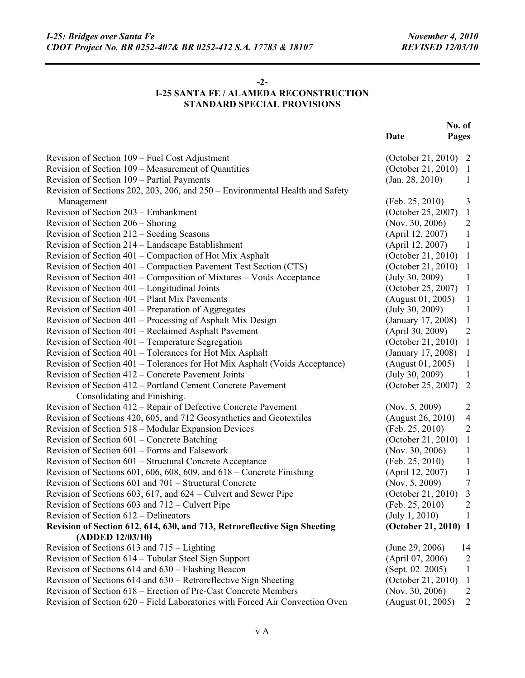#### **-2-**

# **I-25 SANTA FE / ALAMEDA RECONSTRUCTION STANDARD SPECIAL PROVISIONS**

|                                                                               | No. of               |                |
|-------------------------------------------------------------------------------|----------------------|----------------|
|                                                                               | Date                 | Pages          |
| Revision of Section 109 - Fuel Cost Adjustment                                | (October 21, 2010) 2 |                |
| Revision of Section 109 – Measurement of Quantities                           | (October 21, 2010)   | $\mathbf{1}$   |
| Revision of Section 109 – Partial Payments                                    | (Jan. 28, 2010)      | 1              |
| Revision of Sections 202, 203, 206, and 250 – Environmental Health and Safety |                      |                |
| Management                                                                    | (Feb. 25, 2010)      | 3              |
| Revision of Section 203 – Embankment                                          | (October 25, 2007)   | $\mathbf{1}$   |
| Revision of Section 206 – Shoring                                             | (Nov. 30, 2006)      | $\overline{2}$ |
| Revision of Section 212 – Seeding Seasons                                     | (April 12, 2007)     | $\mathbf{1}$   |
| Revision of Section 214 – Landscape Establishment                             | (April 12, 2007)     | $\mathbf{1}$   |
| Revision of Section 401 – Compaction of Hot Mix Asphalt                       | (October 21, 2010)   | $\mathbf{1}$   |
| Revision of Section 401 – Compaction Pavement Test Section (CTS)              | (October 21, 2010)   | $\mathbf{1}$   |
| Revision of Section 401 – Composition of Mixtures – Voids Acceptance          | (July 30, 2009)      | $\mathbf{1}$   |
| Revision of Section 401 – Longitudinal Joints                                 | (October 25, 2007)   | $\mathbf{1}$   |
| Revision of Section 401 – Plant Mix Pavements                                 | (August 01, 2005)    | $\mathbf{1}$   |
| Revision of Section 401 – Preparation of Aggregates                           | (July 30, 2009)      | $\mathbf{1}$   |
| Revision of Section 401 – Processing of Asphalt Mix Design                    | (January 17, 2008)   | $\mathbf{1}$   |
| Revision of Section 401 – Reclaimed Asphalt Pavement                          | (April 30, 2009)     | $\overline{2}$ |
| Revision of Section 401 - Temperature Segregation                             | (October 21, 2010)   | $\mathbf{1}$   |
| Revision of Section 401 - Tolerances for Hot Mix Asphalt                      | (January 17, 2008)   | $\mathbf{1}$   |
| Revision of Section 401 – Tolerances for Hot Mix Asphalt (Voids Acceptance)   | (August 01, 2005)    | $\mathbf{1}$   |
| Revision of Section 412 – Concrete Pavement Joints                            | (July 30, 2009)      | -1             |
| Revision of Section 412 – Portland Cement Concrete Pavement                   | (October 25, 2007)   | 2              |
| Consolidating and Finishing.                                                  |                      |                |
| Revision of Section 412 – Repair of Defective Concrete Pavement               | (Nov. $5, 2009$ )    | $\overline{2}$ |
| Revision of Sections 420, 605, and 712 Geosynthetics and Geotextiles          | (August 26, 2010)    | $\overline{4}$ |
| Revision of Section 518 – Modular Expansion Devices                           | (Feb. 25, 2010)      | $\overline{2}$ |
| Revision of Section 601 – Concrete Batching                                   | (October 21, 2010)   | $\mathbf{1}$   |
| Revision of Section 601 – Forms and Falsework                                 | (Nov. 30, 2006)      | $\mathbf{1}$   |
| Revision of Section 601 – Structural Concrete Acceptance                      | (Feb. 25, 2010)      | $\mathbf{1}$   |
| Revision of Sections 601, 606, 608, 609, and $618$ – Concrete Finishing       | (April 12, 2007)     | $\mathbf{1}$   |
| Revision of Sections 601 and 701 – Structural Concrete                        | (Nov. $5, 2009$ )    | $\tau$         |
| Revision of Sections 603, 617, and 624 – Culvert and Sewer Pipe               | (October 21, 2010)   | 3              |
| Revision of Sections 603 and 712 – Culvert Pipe                               | (Feb. 25, 2010)      | $\overline{2}$ |
| Revision of Section $612 -$ Delineators                                       | (July 1, 2010)       | $\perp$        |
| Revision of Section 612, 614, 630, and 713, Retroreflective Sign Sheeting     | (October 21, 2010) 1 |                |
| (ADDED 12/03/10)                                                              |                      |                |
| Revision of Sections 613 and 715 – Lighting                                   | (June 29, 2006)      | 14             |
| Revision of Section 614 – Tubular Steel Sign Support                          | (April 07, 2006)     | $\overline{2}$ |
| Revision of Sections 614 and 630 – Flashing Beacon                            | (Sept. 02. 2005)     | 1              |
| Revision of Sections 614 and 630 – Retroreflective Sign Sheeting              | (October 21, 2010)   | $\mathbf{1}$   |
| Revision of Section 618 – Erection of Pre-Cast Concrete Members               | (Nov. $30, 2006$ )   | $\overline{2}$ |
| Revision of Section 620 – Field Laboratories with Forced Air Convection Oven  | (August 01, 2005)    | $\overline{2}$ |